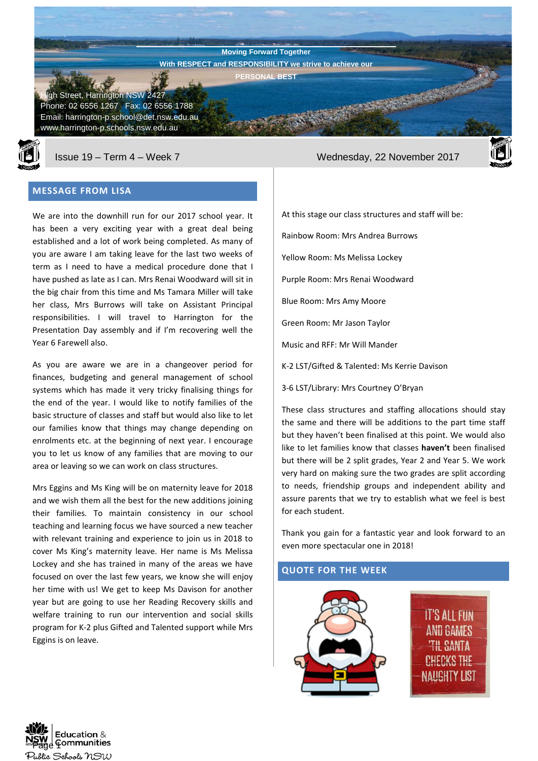**Harrington Public School Newsletter** Street, Harrington NSW 2427 Phone: 02 6556 1267 Fax: 02 6556 1788 Email: harrington-p.school@det.nsw.edu.au www.harrington-p.schools.nsw.edu.au **Moving Forward Together With RESPECT and RESPONSIBILITY we strive to achieve our PERSONAL BEST**



## **MESSAGE FROM LISA**

We are into the downhill run for our 2017 school year. It has been a very exciting year with a great deal being established and a lot of work being completed. As many of you are aware I am taking leave for the last two weeks of term as I need to have a medical procedure done that I have pushed as late as I can. Mrs Renai Woodward will sit in the big chair from this time and Ms Tamara Miller will take her class, Mrs Burrows will take on Assistant Principal responsibilities. I will travel to Harrington for the Presentation Day assembly and if I'm recovering well the Year 6 Farewell also.

As you are aware we are in a changeover period for finances, budgeting and general management of school systems which has made it very tricky finalising things for the end of the year. I would like to notify families of the basic structure of classes and staff but would also like to let our families know that things may change depending on enrolments etc. at the beginning of next year. I encourage you to let us know of any families that are moving to our area or leaving so we can work on class structures.

Mrs Eggins and Ms King will be on maternity leave for 2018 and we wish them all the best for the new additions joining their families. To maintain consistency in our school teaching and learning focus we have sourced a new teacher with relevant training and experience to join us in 2018 to cover Ms King's maternity leave. Her name is Ms Melissa Lockey and she has trained in many of the areas we have focused on over the last few years, we know she will enjoy her time with us! We get to keep Ms Davison for another year but are going to use her Reading Recovery skills and welfare training to run our intervention and social skills program for K-2 plus Gifted and Talented support while Mrs Eggins is on leave.

Issue 19 – Term 4 – Week 7 Wednesday, 22 November 2017



At this stage our class structures and staff will be:

Rainbow Room: Mrs Andrea Burrows

Yellow Room: Ms Melissa Lockey

Purple Room: Mrs Renai Woodward

Blue Room: Mrs Amy Moore

Green Room: Mr Jason Taylor

Music and RFF: Mr Will Mander

K-2 LST/Gifted & Talented: Ms Kerrie Davison

3-6 LST/Library: Mrs Courtney O'Bryan

These class structures and staffing allocations should stay the same and there will be additions to the part time staff but they haven't been finalised at this point. We would also like to let families know that classes **haven't** been finalised but there will be 2 split grades, Year 2 and Year 5. We work very hard on making sure the two grades are split according to needs, friendship groups and independent ability and assure parents that we try to establish what we feel is best for each student.

Thank you gain for a fantastic year and look forward to an even more spectacular one in 2018!

## **QUOTE FOR THE WEEK**



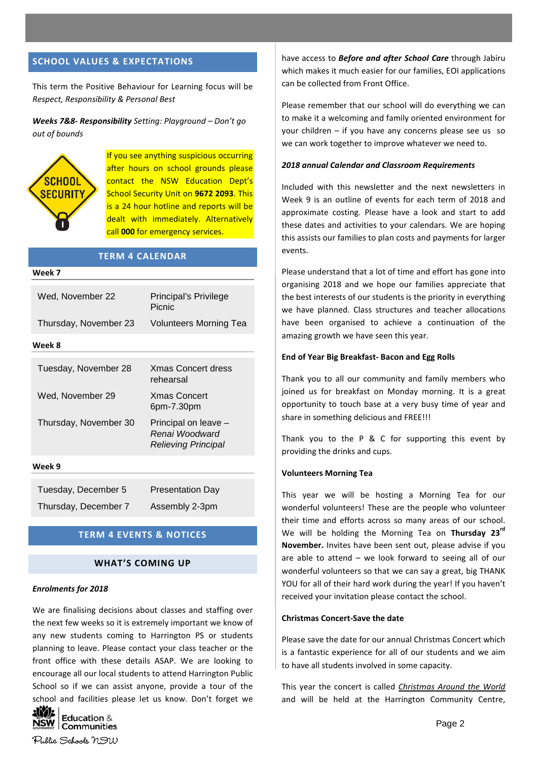## **SCHOOL VALUES & EXPECTATIONS**

This term the Positive Behaviour for Learning focus will be *Respect, Responsibility & Personal Best*

*Weeks 7&8- Responsibility Setting: Playground – Don't go out of bounds*



If you see anything suspicious occurring after hours on school grounds please contact the NSW Education Dept's School Security Unit on **9672 2093**. This is a 24 hour hotline and reports will be dealt with immediately. Alternatively call **000** for emergency services.

| <b>TERM 4 CALENDAR</b> |                                                               |  |
|------------------------|---------------------------------------------------------------|--|
| Week 7                 |                                                               |  |
| Wed. November 22       | Principal's Privilege<br>Picnic                               |  |
| Thursday, November 23  | Volunteers Morning Tea                                        |  |
| Week 8                 |                                                               |  |
| Tuesday, November 28   | <b>Xmas Concert dress</b><br>rehearsal                        |  |
| Wed. November 29       | <b>Xmas Concert</b><br>6pm-7.30pm                             |  |
| Thursday, November 30  | Principal on leave -<br>Renai Woodward<br>Relieving Principal |  |
| Week 9                 |                                                               |  |

Tuesday, December 5 Presentation Day

Thursday, December 7 Assembly 2-3pm

### **TERM 4 EVENTS & NOTICES**

### **WHAT'S COMING UP**

#### *Enrolments for 2018*

We are finalising decisions about classes and staffing over the next few weeks so it is extremely important we know of any new students coming to Harrington PS or students planning to leave. Please contact your class teacher or the front office with these details ASAP. We are looking to encourage all our local students to attend Harrington Public School so if we can assist anyone, provide a tour of the school and facilities please let us know. Don't forget we



have access to *Before and after School Care* through Jabiru which makes it much easier for our families, EOI applications can be collected from Front Office.

Please remember that our school will do everything we can to make it a welcoming and family oriented environment for your children – if you have any concerns please see us so we can work together to improve whatever we need to.

#### *2018 annual Calendar and Classroom Requirements*

Included with this newsletter and the next newsletters in Week 9 is an outline of events for each term of 2018 and approximate costing. Please have a look and start to add these dates and activities to your calendars. We are hoping this assists our families to plan costs and payments for larger events.

Please understand that a lot of time and effort has gone into organising 2018 and we hope our families appreciate that the best interests of our students is the priority in everything we have planned. Class structures and teacher allocations have been organised to achieve a continuation of the amazing growth we have seen this year.

#### **End of Year Big Breakfast- Bacon and Egg Rolls**

Thank you to all our community and family members who joined us for breakfast on Monday morning. It is a great opportunity to touch base at a very busy time of year and share in something delicious and FREE!!!

Thank you to the P & C for supporting this event by providing the drinks and cups.

#### **Volunteers Morning Tea**

This year we will be hosting a Morning Tea for our wonderful volunteers! These are the people who volunteer their time and efforts across so many areas of our school. We will be holding the Morning Tea on **Thursday 23rd November.** Invites have been sent out, please advise if you are able to attend – we look forward to seeing all of our wonderful volunteers so that we can say a great, big THANK YOU for all of their hard work during the year! If you haven't received your invitation please contact the school.

#### **Christmas Concert-Save the date**

Please save the date for our annual Christmas Concert which is a fantastic experience for all of our students and we aim to have all students involved in some capacity.

This year the concert is called *Christmas Around the World* and will be held at the Harrington Community Centre,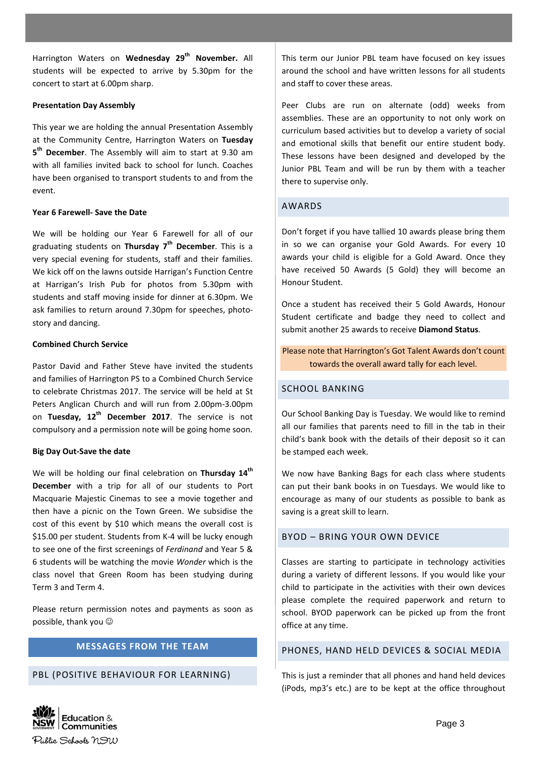Harrington Waters on **Wednesday 29th November.** All students will be expected to arrive by 5.30pm for the concert to start at 6.00pm sharp.

### **Presentation Day Assembly**

This year we are holding the annual Presentation Assembly at the Community Centre, Harrington Waters on **Tuesday 5 th December**. The Assembly will aim to start at 9.30 am with all families invited back to school for lunch. Coaches have been organised to transport students to and from the event.

### **Year 6 Farewell- Save the Date**

We will be holding our Year 6 Farewell for all of our graduating students on **Thursday 7th December**. This is a very special evening for students, staff and their families. We kick off on the lawns outside Harrigan's Function Centre at Harrigan's Irish Pub for photos from 5.30pm with students and staff moving inside for dinner at 6.30pm. We ask families to return around 7.30pm for speeches, photostory and dancing.

#### **Combined Church Service**

Pastor David and Father Steve have invited the students and families of Harrington PS to a Combined Church Service to celebrate Christmas 2017. The service will be held at St Peters Anglican Church and will run from 2.00pm-3.00pm on **Tuesday, 12th December 2017**. The service is not compulsory and a permission note will be going home soon.

### **Big Day Out-Save the date**

We will be holding our final celebration on **Thursday 14th December** with a trip for all of our students to Port Macquarie Majestic Cinemas to see a movie together and then have a picnic on the Town Green. We subsidise the cost of this event by \$10 which means the overall cost is \$15.00 per student. Students from K-4 will be lucky enough to see one of the first screenings of *Ferdinand* and Year 5 & 6 students will be watching the movie *Wonder* which is the class novel that Green Room has been studying during Term 3 and Term 4.

Please return permission notes and payments as soon as possible, thank you

# **MESSAGES FROM THE TEAM**

### PBL (POSITIVE BEHAVIOUR FOR LEARNING)

This term our Junior PBL team have focused on key issues around the school and have written lessons for all students and staff to cover these areas.

Peer Clubs are run on alternate (odd) weeks from assemblies. These are an opportunity to not only work on curriculum based activities but to develop a variety of social and emotional skills that benefit our entire student body. These lessons have been designed and developed by the Junior PBL Team and will be run by them with a teacher there to supervise only.

### AWARDS

Don't forget if you have tallied 10 awards please bring them in so we can organise your Gold Awards. For every 10 awards your child is eligible for a Gold Award. Once they have received 50 Awards (5 Gold) they will become an Honour Student.

Once a student has received their 5 Gold Awards, Honour Student certificate and badge they need to collect and submit another 25 awards to receive **Diamond Status**.

Please note that Harrington's Got Talent Awards don't count towards the overall award tally for each level.

### SCHOOL BANKING

Our School Banking Day is Tuesday. We would like to remind all our families that parents need to fill in the tab in their child's bank book with the details of their deposit so it can be stamped each week.

We now have Banking Bags for each class where students can put their bank books in on Tuesdays. We would like to encourage as many of our students as possible to bank as saving is a great skill to learn.

## BYOD – BRING YOUR OWN DEVICE

Classes are starting to participate in technology activities during a variety of different lessons. If you would like your child to participate in the activities with their own devices please complete the required paperwork and return to school. BYOD paperwork can be picked up from the front office at any time.

## PHONES, HAND HELD DEVICES & SOCIAL MEDIA

This is just a reminder that all phones and hand held devices (iPods, mp3's etc.) are to be kept at the office throughout